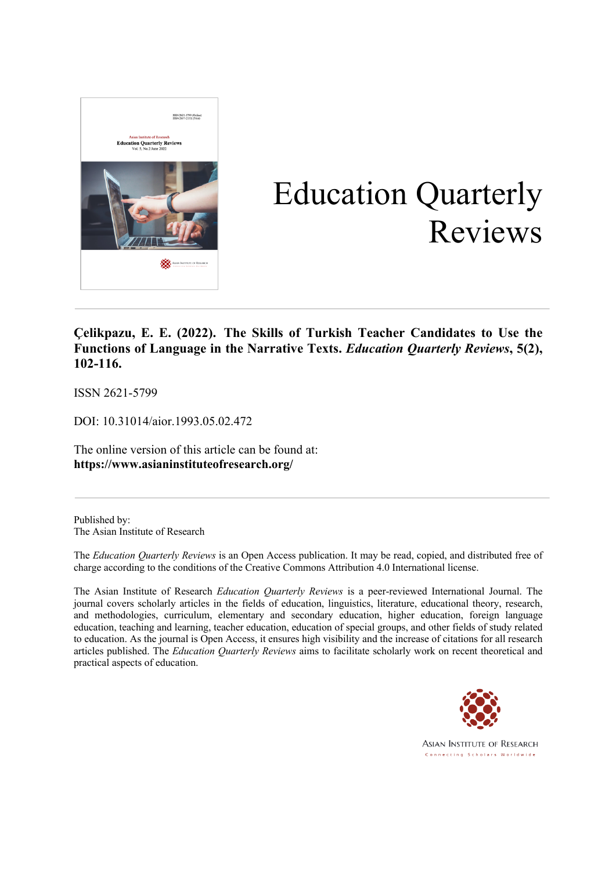

# Education Quarterly Reviews

**Çelikpazu, E. E. (2022). The Skills of Turkish Teacher Candidates to Use the Functions of Language in the Narrative Texts.** *Education Quarterly Reviews***, 5(2), 102-116.**

ISSN 2621-5799

DOI: 10.31014/aior.1993.05.02.472

The online version of this article can be found at: **https://www.asianinstituteofresearch.org/**

Published by: The Asian Institute of Research

The *Education Quarterly Reviews* is an Open Access publication. It may be read, copied, and distributed free of charge according to the conditions of the Creative Commons Attribution 4.0 International license.

The Asian Institute of Research *Education Quarterly Reviews* is a peer-reviewed International Journal. The journal covers scholarly articles in the fields of education, linguistics, literature, educational theory, research, and methodologies, curriculum, elementary and secondary education, higher education, foreign language education, teaching and learning, teacher education, education of special groups, and other fields of study related to education. As the journal is Open Access, it ensures high visibility and the increase of citations for all research articles published. The *Education Quarterly Reviews* aims to facilitate scholarly work on recent theoretical and practical aspects of education.



**ASIAN INSTITUTE OF RESEARCH** Connecting Scholars Worldwide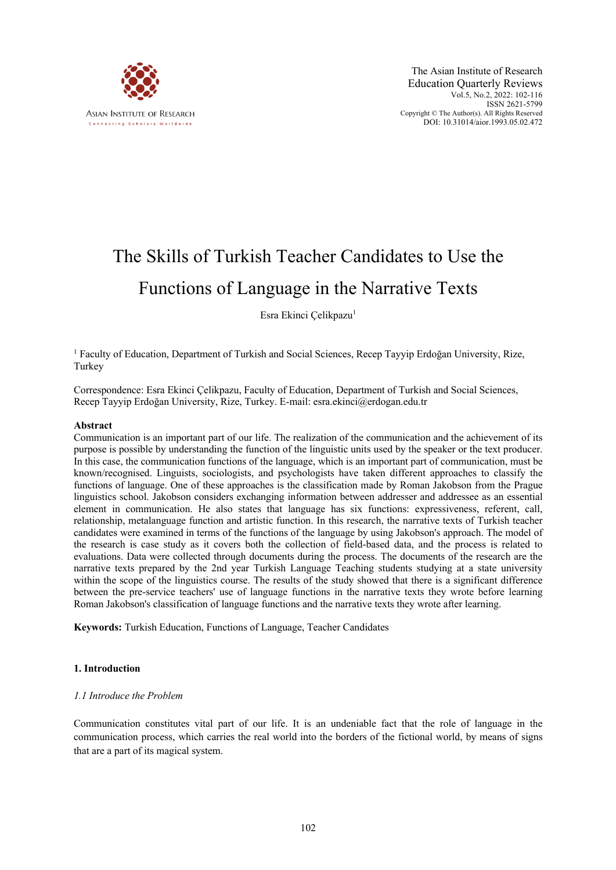

# The Skills of Turkish Teacher Candidates to Use the Functions of Language in the Narrative Texts

Esra Ekinci Çelikpazu<sup>1</sup>

<sup>1</sup> Faculty of Education, Department of Turkish and Social Sciences, Recep Tayyip Erdoğan University, Rize, Turkey

Correspondence: Esra Ekinci Çelikpazu, Faculty of Education, Department of Turkish and Social Sciences, Recep Tayyip Erdoğan University, Rize, Turkey. E-mail: esra.ekinci@erdogan.edu.tr

# **Abstract**

Communication is an important part of our life. The realization of the communication and the achievement of its purpose is possible by understanding the function of the linguistic units used by the speaker or the text producer. In this case, the communication functions of the language, which is an important part of communication, must be known/recognised. Linguists, sociologists, and psychologists have taken different approaches to classify the functions of language. One of these approaches is the classification made by Roman Jakobson from the Prague linguistics school. Jakobson considers exchanging information between addresser and addressee as an essential element in communication. He also states that language has six functions: expressiveness, referent, call, relationship, metalanguage function and artistic function. In this research, the narrative texts of Turkish teacher candidates were examined in terms of the functions of the language by using Jakobson's approach. The model of the research is case study as it covers both the collection of field-based data, and the process is related to evaluations. Data were collected through documents during the process. The documents of the research are the narrative texts prepared by the 2nd year Turkish Language Teaching students studying at a state university within the scope of the linguistics course. The results of the study showed that there is a significant difference between the pre-service teachers' use of language functions in the narrative texts they wrote before learning Roman Jakobson's classification of language functions and the narrative texts they wrote after learning.

**Keywords:** Turkish Education, Functions of Language, Teacher Candidates

# **1. Introduction**

# *1.1 Introduce the Problem*

Communication constitutes vital part of our life. It is an undeniable fact that the role of language in the communication process, which carries the real world into the borders of the fictional world, by means of signs that are a part of its magical system.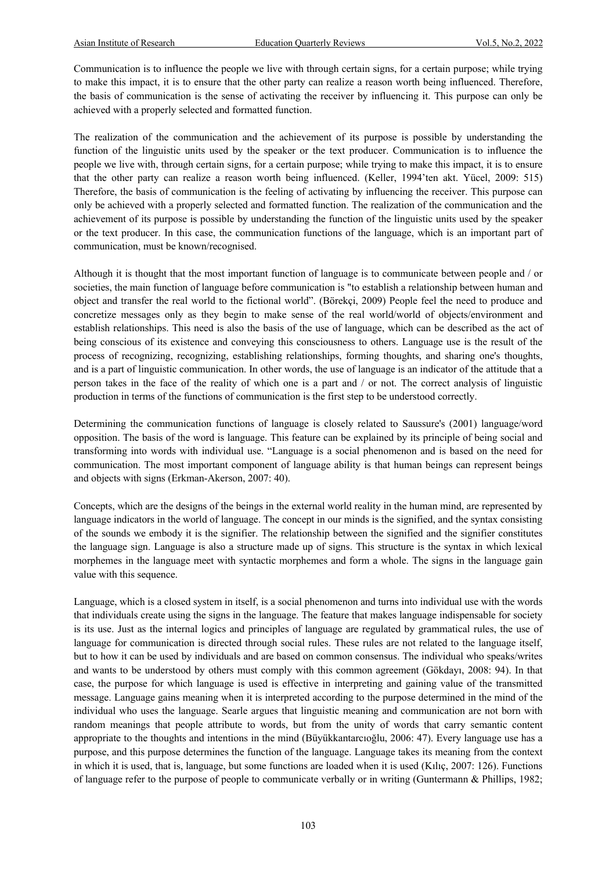Communication is to influence the people we live with through certain signs, for a certain purpose; while trying to make this impact, it is to ensure that the other party can realize a reason worth being influenced. Therefore, the basis of communication is the sense of activating the receiver by influencing it. This purpose can only be achieved with a properly selected and formatted function.

The realization of the communication and the achievement of its purpose is possible by understanding the function of the linguistic units used by the speaker or the text producer. Communication is to influence the people we live with, through certain signs, for a certain purpose; while trying to make this impact, it is to ensure that the other party can realize a reason worth being influenced. (Keller, 1994'ten akt. Yücel, 2009: 515) Therefore, the basis of communication is the feeling of activating by influencing the receiver. This purpose can only be achieved with a properly selected and formatted function. The realization of the communication and the achievement of its purpose is possible by understanding the function of the linguistic units used by the speaker or the text producer. In this case, the communication functions of the language, which is an important part of communication, must be known/recognised.

Although it is thought that the most important function of language is to communicate between people and / or societies, the main function of language before communication is "to establish a relationship between human and object and transfer the real world to the fictional world". (Börekçi, 2009) People feel the need to produce and concretize messages only as they begin to make sense of the real world/world of objects/environment and establish relationships. This need is also the basis of the use of language, which can be described as the act of being conscious of its existence and conveying this consciousness to others. Language use is the result of the process of recognizing, recognizing, establishing relationships, forming thoughts, and sharing one's thoughts, and is a part of linguistic communication. In other words, the use of language is an indicator of the attitude that a person takes in the face of the reality of which one is a part and / or not. The correct analysis of linguistic production in terms of the functions of communication is the first step to be understood correctly.

Determining the communication functions of language is closely related to Saussure's (2001) language/word opposition. The basis of the word is language. This feature can be explained by its principle of being social and transforming into words with individual use. "Language is a social phenomenon and is based on the need for communication. The most important component of language ability is that human beings can represent beings and objects with signs (Erkman-Akerson, 2007: 40).

Concepts, which are the designs of the beings in the external world reality in the human mind, are represented by language indicators in the world of language. The concept in our minds is the signified, and the syntax consisting of the sounds we embody it is the signifier. The relationship between the signified and the signifier constitutes the language sign. Language is also a structure made up of signs. This structure is the syntax in which lexical morphemes in the language meet with syntactic morphemes and form a whole. The signs in the language gain value with this sequence.

Language, which is a closed system in itself, is a social phenomenon and turns into individual use with the words that individuals create using the signs in the language. The feature that makes language indispensable for society is its use. Just as the internal logics and principles of language are regulated by grammatical rules, the use of language for communication is directed through social rules. These rules are not related to the language itself, but to how it can be used by individuals and are based on common consensus. The individual who speaks/writes and wants to be understood by others must comply with this common agreement (Gökdayı, 2008: 94). In that case, the purpose for which language is used is effective in interpreting and gaining value of the transmitted message. Language gains meaning when it is interpreted according to the purpose determined in the mind of the individual who uses the language. Searle argues that linguistic meaning and communication are not born with random meanings that people attribute to words, but from the unity of words that carry semantic content appropriate to the thoughts and intentions in the mind (Büyükkantarcıoğlu, 2006: 47). Every language use has a purpose, and this purpose determines the function of the language. Language takes its meaning from the context in which it is used, that is, language, but some functions are loaded when it is used (Kılıç, 2007: 126). Functions of language refer to the purpose of people to communicate verbally or in writing (Guntermann & Phillips, 1982;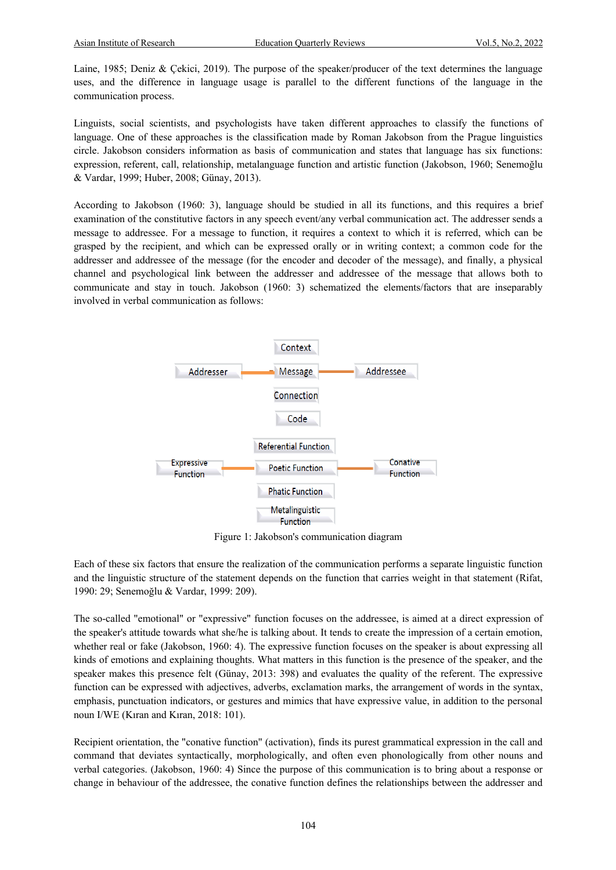Laine, 1985; Deniz & Çekici, 2019). The purpose of the speaker/producer of the text determines the language uses, and the difference in language usage is parallel to the different functions of the language in the communication process.

Linguists, social scientists, and psychologists have taken different approaches to classify the functions of language. One of these approaches is the classification made by Roman Jakobson from the Prague linguistics circle. Jakobson considers information as basis of communication and states that language has six functions: expression, referent, call, relationship, metalanguage function and artistic function (Jakobson, 1960; Senemoğlu & Vardar, 1999; Huber, 2008; Günay, 2013).

According to Jakobson (1960: 3), language should be studied in all its functions, and this requires a brief examination of the constitutive factors in any speech event/any verbal communication act. The addresser sends a message to addressee. For a message to function, it requires a context to which it is referred, which can be grasped by the recipient, and which can be expressed orally or in writing context; a common code for the addresser and addressee of the message (for the encoder and decoder of the message), and finally, a physical channel and psychological link between the addresser and addressee of the message that allows both to communicate and stay in touch. Jakobson (1960: 3) schematized the elements/factors that are inseparably involved in verbal communication as follows:



Figure 1: Jakobson's communication diagram

Each of these six factors that ensure the realization of the communication performs a separate linguistic function and the linguistic structure of the statement depends on the function that carries weight in that statement (Rifat, 1990: 29; Senemoğlu & Vardar, 1999: 209).

The so-called "emotional" or "expressive" function focuses on the addressee, is aimed at a direct expression of the speaker's attitude towards what she/he is talking about. It tends to create the impression of a certain emotion, whether real or fake (Jakobson, 1960: 4). The expressive function focuses on the speaker is about expressing all kinds of emotions and explaining thoughts. What matters in this function is the presence of the speaker, and the speaker makes this presence felt (Günay, 2013: 398) and evaluates the quality of the referent. The expressive function can be expressed with adjectives, adverbs, exclamation marks, the arrangement of words in the syntax, emphasis, punctuation indicators, or gestures and mimics that have expressive value, in addition to the personal noun I/WE (Kıran and Kıran, 2018: 101).

Recipient orientation, the "conative function" (activation), finds its purest grammatical expression in the call and command that deviates syntactically, morphologically, and often even phonologically from other nouns and verbal categories. (Jakobson, 1960: 4) Since the purpose of this communication is to bring about a response or change in behaviour of the addressee, the conative function defines the relationships between the addresser and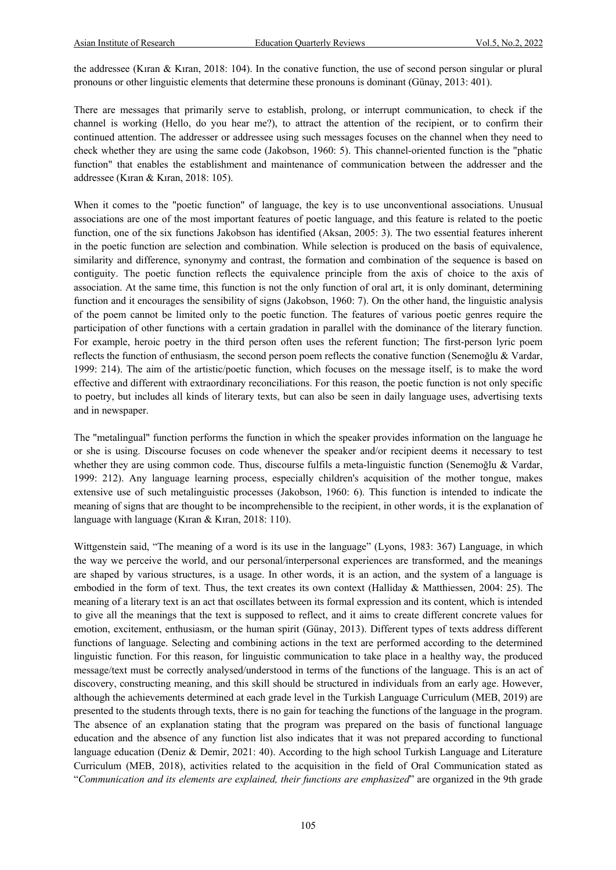the addressee (Kıran & Kıran, 2018: 104). In the conative function, the use of second person singular or plural pronouns or other linguistic elements that determine these pronouns is dominant (Günay, 2013: 401).

There are messages that primarily serve to establish, prolong, or interrupt communication, to check if the channel is working (Hello, do you hear me?), to attract the attention of the recipient, or to confirm their continued attention. The addresser or addressee using such messages focuses on the channel when they need to check whether they are using the same code (Jakobson, 1960: 5). This channel-oriented function is the "phatic function" that enables the establishment and maintenance of communication between the addresser and the addressee (Kıran & Kıran, 2018: 105).

When it comes to the "poetic function" of language, the key is to use unconventional associations. Unusual associations are one of the most important features of poetic language, and this feature is related to the poetic function, one of the six functions Jakobson has identified (Aksan, 2005: 3). The two essential features inherent in the poetic function are selection and combination. While selection is produced on the basis of equivalence, similarity and difference, synonymy and contrast, the formation and combination of the sequence is based on contiguity. The poetic function reflects the equivalence principle from the axis of choice to the axis of association. At the same time, this function is not the only function of oral art, it is only dominant, determining function and it encourages the sensibility of signs (Jakobson, 1960: 7). On the other hand, the linguistic analysis of the poem cannot be limited only to the poetic function. The features of various poetic genres require the participation of other functions with a certain gradation in parallel with the dominance of the literary function. For example, heroic poetry in the third person often uses the referent function; The first-person lyric poem reflects the function of enthusiasm, the second person poem reflects the conative function (Senemoğlu & Vardar, 1999: 214). The aim of the artistic/poetic function, which focuses on the message itself, is to make the word effective and different with extraordinary reconciliations. For this reason, the poetic function is not only specific to poetry, but includes all kinds of literary texts, but can also be seen in daily language uses, advertising texts and in newspaper.

The "metalingual" function performs the function in which the speaker provides information on the language he or she is using. Discourse focuses on code whenever the speaker and/or recipient deems it necessary to test whether they are using common code. Thus, discourse fulfils a meta-linguistic function (Senemoğlu & Vardar, 1999: 212). Any language learning process, especially children's acquisition of the mother tongue, makes extensive use of such metalinguistic processes (Jakobson, 1960: 6). This function is intended to indicate the meaning of signs that are thought to be incomprehensible to the recipient, in other words, it is the explanation of language with language (Kıran & Kıran, 2018: 110).

Wittgenstein said, "The meaning of a word is its use in the language" (Lyons, 1983: 367) Language, in which the way we perceive the world, and our personal/interpersonal experiences are transformed, and the meanings are shaped by various structures, is a usage. In other words, it is an action, and the system of a language is embodied in the form of text. Thus, the text creates its own context (Halliday & Matthiessen, 2004: 25). The meaning of a literary text is an act that oscillates between its formal expression and its content, which is intended to give all the meanings that the text is supposed to reflect, and it aims to create different concrete values for emotion, excitement, enthusiasm, or the human spirit (Günay, 2013). Different types of texts address different functions of language. Selecting and combining actions in the text are performed according to the determined linguistic function. For this reason, for linguistic communication to take place in a healthy way, the produced message/text must be correctly analysed/understood in terms of the functions of the language. This is an act of discovery, constructing meaning, and this skill should be structured in individuals from an early age. However, although the achievements determined at each grade level in the Turkish Language Curriculum (MEB, 2019) are presented to the students through texts, there is no gain for teaching the functions of the language in the program. The absence of an explanation stating that the program was prepared on the basis of functional language education and the absence of any function list also indicates that it was not prepared according to functional language education (Deniz & Demir, 2021: 40). According to the high school Turkish Language and Literature Curriculum (MEB, 2018), activities related to the acquisition in the field of Oral Communication stated as "*Communication and its elements are explained, their functions are emphasized*" are organized in the 9th grade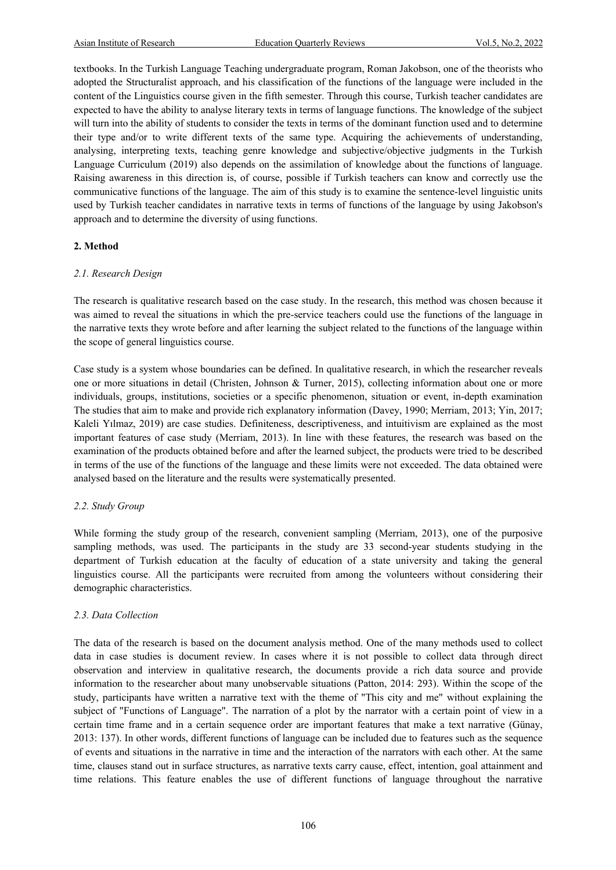textbooks. In the Turkish Language Teaching undergraduate program, Roman Jakobson, one of the theorists who adopted the Structuralist approach, and his classification of the functions of the language were included in the content of the Linguistics course given in the fifth semester. Through this course, Turkish teacher candidates are expected to have the ability to analyse literary texts in terms of language functions. The knowledge of the subject will turn into the ability of students to consider the texts in terms of the dominant function used and to determine their type and/or to write different texts of the same type. Acquiring the achievements of understanding, analysing, interpreting texts, teaching genre knowledge and subjective/objective judgments in the Turkish Language Curriculum (2019) also depends on the assimilation of knowledge about the functions of language. Raising awareness in this direction is, of course, possible if Turkish teachers can know and correctly use the communicative functions of the language. The aim of this study is to examine the sentence-level linguistic units used by Turkish teacher candidates in narrative texts in terms of functions of the language by using Jakobson's approach and to determine the diversity of using functions.

#### **2. Method**

#### *2.1. Research Design*

The research is qualitative research based on the case study. In the research, this method was chosen because it was aimed to reveal the situations in which the pre-service teachers could use the functions of the language in the narrative texts they wrote before and after learning the subject related to the functions of the language within the scope of general linguistics course.

Case study is a system whose boundaries can be defined. In qualitative research, in which the researcher reveals one or more situations in detail (Christen, Johnson & Turner, 2015), collecting information about one or more individuals, groups, institutions, societies or a specific phenomenon, situation or event, in-depth examination The studies that aim to make and provide rich explanatory information (Davey, 1990; Merriam, 2013; Yin, 2017; Kaleli Yılmaz, 2019) are case studies. Definiteness, descriptiveness, and intuitivism are explained as the most important features of case study (Merriam, 2013). In line with these features, the research was based on the examination of the products obtained before and after the learned subject, the products were tried to be described in terms of the use of the functions of the language and these limits were not exceeded. The data obtained were analysed based on the literature and the results were systematically presented.

#### *2.2. Study Group*

While forming the study group of the research, convenient sampling (Merriam, 2013), one of the purposive sampling methods, was used. The participants in the study are 33 second-year students studying in the department of Turkish education at the faculty of education of a state university and taking the general linguistics course. All the participants were recruited from among the volunteers without considering their demographic characteristics.

#### *2.3. Data Collection*

The data of the research is based on the document analysis method. One of the many methods used to collect data in case studies is document review. In cases where it is not possible to collect data through direct observation and interview in qualitative research, the documents provide a rich data source and provide information to the researcher about many unobservable situations (Patton, 2014: 293). Within the scope of the study, participants have written a narrative text with the theme of "This city and me" without explaining the subject of "Functions of Language". The narration of a plot by the narrator with a certain point of view in a certain time frame and in a certain sequence order are important features that make a text narrative (Günay, 2013: 137). In other words, different functions of language can be included due to features such as the sequence of events and situations in the narrative in time and the interaction of the narrators with each other. At the same time, clauses stand out in surface structures, as narrative texts carry cause, effect, intention, goal attainment and time relations. This feature enables the use of different functions of language throughout the narrative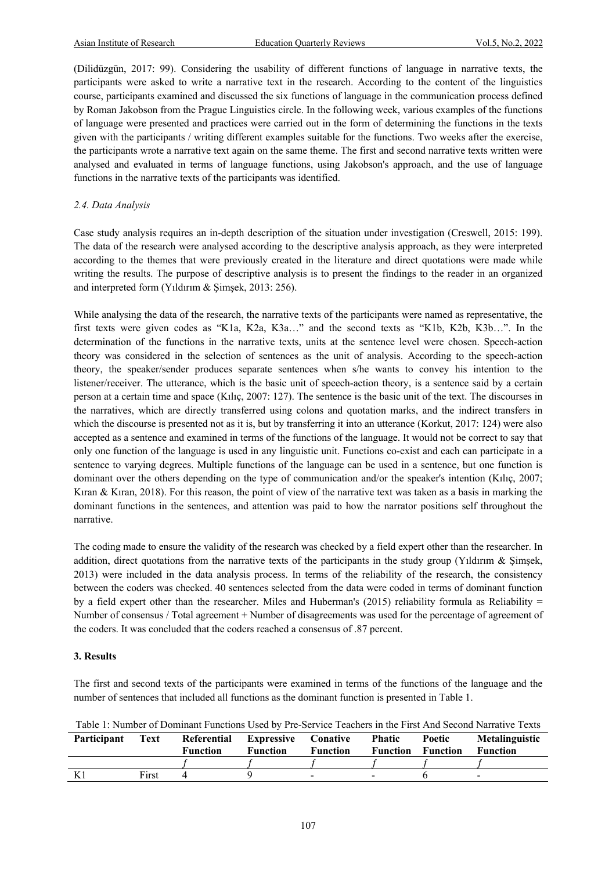(Dilidüzgün, 2017: 99). Considering the usability of different functions of language in narrative texts, the participants were asked to write a narrative text in the research. According to the content of the linguistics course, participants examined and discussed the six functions of language in the communication process defined by Roman Jakobson from the Prague Linguistics circle. In the following week, various examples of the functions of language were presented and practices were carried out in the form of determining the functions in the texts given with the participants / writing different examples suitable for the functions. Two weeks after the exercise, the participants wrote a narrative text again on the same theme. The first and second narrative texts written were analysed and evaluated in terms of language functions, using Jakobson's approach, and the use of language functions in the narrative texts of the participants was identified.

# *2.4. Data Analysis*

Case study analysis requires an in-depth description of the situation under investigation (Creswell, 2015: 199). The data of the research were analysed according to the descriptive analysis approach, as they were interpreted according to the themes that were previously created in the literature and direct quotations were made while writing the results. The purpose of descriptive analysis is to present the findings to the reader in an organized and interpreted form (Yıldırım & Şimşek, 2013: 256).

While analysing the data of the research, the narrative texts of the participants were named as representative, the first texts were given codes as "K1a, K2a, K3a…" and the second texts as "K1b, K2b, K3b…". In the determination of the functions in the narrative texts, units at the sentence level were chosen. Speech-action theory was considered in the selection of sentences as the unit of analysis. According to the speech-action theory, the speaker/sender produces separate sentences when s/he wants to convey his intention to the listener/receiver. The utterance, which is the basic unit of speech-action theory, is a sentence said by a certain person at a certain time and space (Kılıç, 2007: 127). The sentence is the basic unit of the text. The discourses in the narratives, which are directly transferred using colons and quotation marks, and the indirect transfers in which the discourse is presented not as it is, but by transferring it into an utterance (Korkut, 2017: 124) were also accepted as a sentence and examined in terms of the functions of the language. It would not be correct to say that only one function of the language is used in any linguistic unit. Functions co-exist and each can participate in a sentence to varying degrees. Multiple functions of the language can be used in a sentence, but one function is dominant over the others depending on the type of communication and/or the speaker's intention (Kılıç, 2007; Kıran & Kıran, 2018). For this reason, the point of view of the narrative text was taken as a basis in marking the dominant functions in the sentences, and attention was paid to how the narrator positions self throughout the narrative.

The coding made to ensure the validity of the research was checked by a field expert other than the researcher. In addition, direct quotations from the narrative texts of the participants in the study group (Yıldırım & Şimşek, 2013) were included in the data analysis process. In terms of the reliability of the research, the consistency between the coders was checked. 40 sentences selected from the data were coded in terms of dominant function by a field expert other than the researcher. Miles and Huberman's (2015) reliability formula as Reliability = Number of consensus / Total agreement + Number of disagreements was used for the percentage of agreement of the coders. It was concluded that the coders reached a consensus of .87 percent.

# **3. Results**

The first and second texts of the participants were examined in terms of the functions of the language and the number of sentences that included all functions as the dominant function is presented in Table 1.

|             |      |                                 |          |          |        |                                   | Table 1: Number of Dominant Functions Used by Pre-Service Teachers in the First And Second Narrative Texts |
|-------------|------|---------------------------------|----------|----------|--------|-----------------------------------|------------------------------------------------------------------------------------------------------------|
| Participant | Text | Referential Expressive Conative |          |          | Phatic | Poetic                            | Metalinguistic                                                                                             |
|             |      | <b>Function</b>                 | Function | Function |        | <b>Function Function Function</b> |                                                                                                            |

| - тагисираш | 1 слі | Reiefeilual | <b>EXPLUSSIVE COHALIVE</b> |                 | т паис   | T OCLIC- | <b>METALLE LATE</b>      |
|-------------|-------|-------------|----------------------------|-----------------|----------|----------|--------------------------|
|             |       | Function    | <b>Function</b>            | <b>Function</b> | Function | Function | <b>Function</b>          |
|             |       |             |                            |                 |          |          |                          |
| K1          | First |             |                            | -               | $\,$     |          | $\overline{\phantom{0}}$ |
|             |       |             |                            |                 |          |          |                          |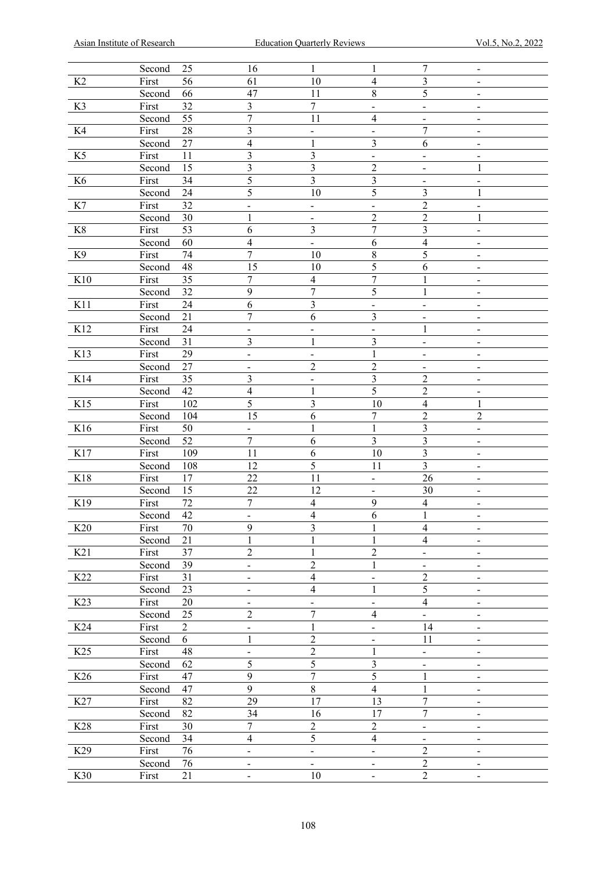|                 | Second                 | 25         | 16                                         | $\mathbf{1}$                                 | 1                                          | 7                                | $\overline{\phantom{a}}$      |
|-----------------|------------------------|------------|--------------------------------------------|----------------------------------------------|--------------------------------------------|----------------------------------|-------------------------------|
| K2              | First                  | 56         | 61                                         | 10                                           | $\overline{4}$                             | 3                                |                               |
|                 | Second                 | 66         | 47                                         | 11                                           | 8                                          | 5                                |                               |
| K3              | First                  | 32         | 3                                          | $\overline{7}$                               | $\overline{\phantom{0}}$                   | $\qquad \qquad \blacksquare$     |                               |
|                 | Second                 | 55         | $\overline{7}$                             | 11                                           | $\overline{\mathbf{4}}$                    | $\overline{\phantom{a}}$         |                               |
| K4              | First                  | 28         | 3                                          | $\qquad \qquad -$                            | $\overline{\phantom{0}}$                   | $\overline{7}$                   | $\overline{\phantom{a}}$      |
|                 | Second                 | 27         | $\overline{\mathcal{A}}$                   | $\mathbf{1}$                                 | 3                                          | 6                                | $\overline{\phantom{a}}$      |
| K5              | First                  | 11         | 3                                          | $\overline{3}$                               | $\overline{\phantom{0}}$                   | $\overline{\phantom{a}}$         |                               |
|                 | Second                 | 15         | 3                                          | $\overline{\mathbf{3}}$                      | $\overline{c}$                             | $\overline{\phantom{a}}$         | $\mathbf{1}$                  |
| K6              | First                  | 34         | 5                                          | $\overline{3}$                               | $\overline{\mathbf{3}}$                    | $\qquad \qquad \blacksquare$     | $\qquad \qquad -$             |
|                 | Second                 | 24         | 5                                          | 10                                           | 5                                          | $\overline{3}$                   | $\mathbf{1}$                  |
| K7              | First                  | 32         |                                            |                                              |                                            | $\overline{2}$                   | $\overline{\phantom{a}}$      |
|                 | Second                 | 30         | $\overline{\phantom{0}}$<br>$\mathbf{1}$   | $\overline{\phantom{0}}$                     | $\overline{\phantom{0}}$<br>$\overline{c}$ | $\overline{2}$                   | $\mathbf{1}$                  |
|                 | First                  | 53         | 6                                          | $\qquad \qquad -$<br>$\overline{\mathbf{3}}$ | $\overline{7}$                             | $\overline{\mathbf{3}}$          |                               |
| K8              |                        |            |                                            |                                              |                                            |                                  | $\overline{\phantom{a}}$      |
|                 | Second                 | 60         | $\overline{\mathcal{A}}$<br>$\overline{7}$ | $\frac{1}{2}$                                | 6                                          | $\overline{\mathbf{4}}$          |                               |
| K9              | First                  | 74         |                                            | 10                                           | 8                                          | 5                                |                               |
|                 | Second                 | 48         | 15                                         | 10                                           | 5                                          | 6                                |                               |
| K10             | First                  | 35         | $\overline{7}$                             | $\overline{\mathbf{4}}$                      | $\overline{7}$                             | $\mathbf{1}$                     | ۰                             |
|                 | Second                 | 32         | $\mathbf{9}$                               | $\overline{7}$                               | 5                                          | $\mathbf{1}$                     |                               |
| K11             | First                  | 24         | 6                                          | $\overline{\mathbf{3}}$                      | $\qquad \qquad -$                          | $\blacksquare$                   |                               |
|                 | Second                 | 21         | $\overline{7}$                             | 6                                            | 3                                          | $\overline{a}$                   |                               |
| K12             | First                  | 24         | $\overline{\phantom{0}}$                   | $\overline{\phantom{0}}$                     | $\qquad \qquad \blacksquare$               | $\mathbf{1}$                     |                               |
|                 | Second                 | 31         | 3                                          | $\mathbf{1}$                                 | 3                                          | $\qquad \qquad \blacksquare$     |                               |
| K13             | First                  | 29         | $\overline{\phantom{0}}$                   | $\overline{\phantom{a}}$                     | $\mathbf{1}$                               | $\qquad \qquad \blacksquare$     |                               |
|                 | Second                 | 27         | $\qquad \qquad \blacksquare$               | $\sqrt{2}$                                   | $\overline{c}$                             | $\qquad \qquad \blacksquare$     |                               |
| K14             | First                  | 35         | 3                                          | $\overline{\phantom{0}}$                     | $\overline{\mathbf{3}}$                    | $\overline{c}$                   | $\blacksquare$                |
|                 | Second                 | 42         | $\overline{\mathbf{4}}$                    | $\mathbf{1}$                                 | 5                                          | $\overline{2}$                   | -                             |
| K15             | First                  | 102        | 5                                          | $\overline{3}$                               | 10                                         | $\overline{4}$                   | $\mathbf{1}$                  |
|                 | Second                 | 104        | 15                                         | 6                                            | $\overline{7}$                             | $\overline{c}$                   | $\overline{c}$                |
|                 |                        |            |                                            |                                              |                                            |                                  |                               |
| K16             | First                  | 50         | $\overline{\phantom{0}}$                   | $\mathbf{1}$                                 | $\,1\,$                                    | $\overline{\mathbf{3}}$          | $\overline{\phantom{a}}$      |
|                 | Second                 | 52         | $\boldsymbol{7}$                           | $\overline{6}$                               | $\overline{\mathbf{3}}$                    | 3                                | -                             |
| K17             |                        | 109        | 11                                         | $\sqrt{6}$                                   | 10                                         | $\overline{\mathbf{3}}$          | $\blacksquare$                |
|                 | First<br>Second        |            |                                            |                                              | 11                                         | $\overline{\mathbf{3}}$          | $\blacksquare$                |
|                 |                        | 108        | 12                                         | 5                                            | $\overline{\phantom{0}}$                   |                                  | $\overline{\phantom{a}}$      |
| K18             | First                  | 17         | 22                                         | 11                                           |                                            | 26                               | $\overline{\phantom{a}}$      |
|                 | Second                 | 15         | 22                                         | 12                                           | $\qquad \qquad \blacksquare$               | 30                               | $\overline{\phantom{a}}$      |
| K19             | First                  | 72         | $\overline{7}$                             | $\overline{\mathbf{4}}$                      | 9                                          | $\overline{4}$                   |                               |
|                 | Second                 | 42         | $\overline{\phantom{0}}$                   | $\overline{\mathbf{4}}$                      | 6                                          | $\mathbf{1}$                     | $\overline{\phantom{a}}$      |
| K <sub>20</sub> | First                  | 70         | 9                                          | $\mathfrak{z}$                               | $\mathbf{I}$                               | 4                                | -<br>$\overline{\phantom{a}}$ |
|                 | Second                 | 21         | $\mathbf{1}$                               | $\mathbf{1}$                                 | $\mathbf{1}$                               | $\overline{4}$                   | $\overline{\phantom{0}}$      |
| K21             | $\operatorname{First}$ | 37         | $\overline{c}$                             | $\mathbf{1}$                                 | $\overline{c}$                             | $\qquad \qquad \blacksquare$     |                               |
|                 | Second                 | 39         | $\overline{\phantom{0}}$                   | $\overline{c}$                               | $\mathbf{1}$                               | $\qquad \qquad \blacksquare$     | $\qquad \qquad \blacksquare$  |
| K22             | $\operatorname{First}$ | 31         | $\qquad \qquad \blacksquare$               | $\overline{\mathbf{4}}$                      | $\qquad \qquad \blacksquare$               | $\overline{c}$                   | $\overline{\phantom{a}}$      |
|                 | Second                 | 23         | $\qquad \qquad \blacksquare$               | $\overline{\mathbf{4}}$                      | $\mathbf{1}$                               | 5                                | $\overline{\phantom{a}}$      |
| K23             | $\operatorname{First}$ | 20         | $\overline{\phantom{0}}$                   | $\qquad \qquad -$                            | $\qquad \qquad \blacksquare$               | $\overline{4}$                   | $\qquad \qquad \blacksquare$  |
|                 | Second                 | 25         | $\overline{c}$                             | $\overline{7}$                               | $\overline{\mathbf{4}}$                    | $\qquad \qquad \blacksquare$     | $\overline{\phantom{a}}$      |
| K24             | $\operatorname{First}$ | $\sqrt{2}$ | $\qquad \qquad \blacksquare$               | $\mathbf{1}$                                 | $\qquad \qquad \blacksquare$               | 14                               | $\overline{\phantom{a}}$      |
|                 | Second                 | 6          | $\mathbf{1}$                               | $\overline{c}$                               | $\qquad \qquad \blacksquare$               | 11                               | $\qquad \qquad \blacksquare$  |
| K25             | $\operatorname{First}$ | 48         | $\overline{\phantom{0}}$                   | $\overline{c}$                               | $\,1\,$                                    | $\overline{\phantom{0}}$         | $\qquad \qquad \blacksquare$  |
|                 | Second                 | 62         | 5                                          | 5                                            | 3                                          | $\overline{\phantom{0}}$         | $\qquad \qquad \blacksquare$  |
| K26             | $\operatorname{First}$ | 47         | $\mathbf{9}$                               | $\overline{7}$                               | 5                                          | $\mathbf{1}$                     | $\overline{\phantom{a}}$      |
|                 | Second                 | 47         | 9                                          | $\overline{8}$                               | $\overline{4}$                             | $\mathbf{1}$                     | $\qquad \qquad \blacksquare$  |
| K27             | $\operatorname{First}$ | 82         | 29                                         | 17                                           | 13                                         | $\overline{7}$                   | $\qquad \qquad \blacksquare$  |
|                 | Second                 | 82         | 34                                         | 16                                           | 17                                         | $\overline{7}$                   | $\qquad \qquad \blacksquare$  |
| K28             | $\operatorname{First}$ | 30         | $\overline{7}$                             | $\overline{c}$                               | $\overline{c}$                             | $\qquad \qquad \blacksquare$     | $\overline{\phantom{a}}$      |
|                 | Second                 | 34         | $\overline{4}$                             | 5                                            | $\overline{4}$                             | $\overline{\phantom{0}}$         | $\overline{\phantom{a}}$      |
| K29             | First                  | 76         | $\overline{\phantom{0}}$                   | $\overline{\phantom{0}}$                     | $\overline{\phantom{0}}$                   | $\overline{2}$                   | $\overline{\phantom{a}}$      |
| K30             | Second<br>First        | 76<br>21   | $\overline{\phantom{0}}$                   | $\overline{\phantom{0}}$<br>$10\,$           | $\overline{\phantom{0}}$                   | $\overline{c}$<br>$\overline{2}$ | $\overline{\phantom{a}}$      |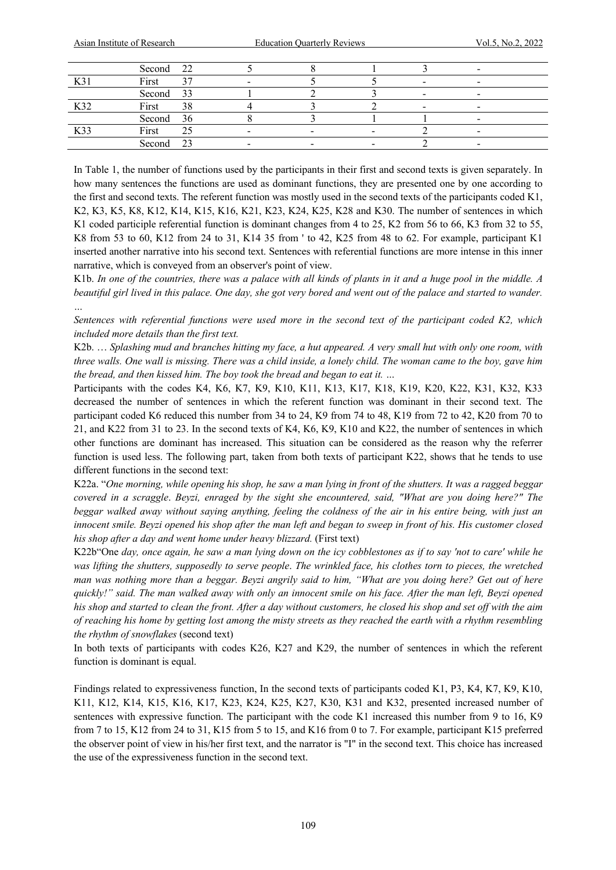*…*

|     | Second 22 |        |  |                          |  |
|-----|-----------|--------|--|--------------------------|--|
| K3  | First     | $\sim$ |  | $\overline{\phantom{0}}$ |  |
|     | Second 33 |        |  | $\overline{\phantom{0}}$ |  |
| K32 | First     | 38     |  | $\overline{\phantom{0}}$ |  |
|     | Second 36 |        |  |                          |  |
| K33 | First     | 25     |  |                          |  |
|     | Second 23 |        |  |                          |  |
|     |           |        |  |                          |  |

In Table 1, the number of functions used by the participants in their first and second texts is given separately. In how many sentences the functions are used as dominant functions, they are presented one by one according to the first and second texts. The referent function was mostly used in the second texts of the participants coded K1, K2, K3, K5, K8, K12, K14, K15, K16, K21, K23, K24, K25, K28 and K30. The number of sentences in which K1 coded participle referential function is dominant changes from 4 to 25, K2 from 56 to 66, K3 from 32 to 55, K8 from 53 to 60, K12 from 24 to 31, K14 35 from ' to 42, K25 from 48 to 62. For example, participant K1 inserted another narrative into his second text. Sentences with referential functions are more intense in this inner narrative, which is conveyed from an observer's point of view.

K1b. *In one of the countries, there was a palace with all kinds of plants in it and a huge pool in the middle. A beautiful girl lived in this palace. One day, she got very bored and went out of the palace and started to wander.* 

*Sentences with referential functions were used more in the second text of the participant coded K2, which included more details than the first text.*

K2b. … *Splashing mud and branches hitting my face, a hut appeared. A very small hut with only one room, with three walls. One wall is missing. There was a child inside, a lonely child. The woman came to the boy, gave him the bread, and then kissed him. The boy took the bread and began to eat it. …* 

Participants with the codes K4, K6, K7, K9, K10, K11, K13, K17, K18, K19, K20, K22, K31, K32, K33 decreased the number of sentences in which the referent function was dominant in their second text. The participant coded K6 reduced this number from 34 to 24, K9 from 74 to 48, K19 from 72 to 42, K20 from 70 to 21, and K22 from 31 to 23. In the second texts of K4, K6, K9, K10 and K22, the number of sentences in which other functions are dominant has increased. This situation can be considered as the reason why the referrer function is used less. The following part, taken from both texts of participant K22, shows that he tends to use different functions in the second text:

K22a. "*One morning, while opening his shop, he saw a man lying in front of the shutters. It was a ragged beggar covered in a scraggle*. *Beyzi, enraged by the sight she encountered, said, "What are you doing here?" The beggar walked away without saying anything, feeling the coldness of the air in his entire being, with just an innocent smile. Beyzi opened his shop after the man left and began to sweep in front of his. His customer closed his shop after a day and went home under heavy blizzard.* (First text)

K22b"One *day, once again, he saw a man lying down on the icy cobblestones as if to say 'not to care' while he was lifting the shutters, supposedly to serve people*. *The wrinkled face, his clothes torn to pieces, the wretched man was nothing more than a beggar. Beyzi angrily said to him, "What are you doing here? Get out of here quickly!" said. The man walked away with only an innocent smile on his face. After the man left, Beyzi opened his shop and started to clean the front. After a day without customers, he closed his shop and set off with the aim of reaching his home by getting lost among the misty streets as they reached the earth with a rhythm resembling the rhythm of snowflakes* (second text)

In both texts of participants with codes K26, K27 and K29, the number of sentences in which the referent function is dominant is equal.

Findings related to expressiveness function, In the second texts of participants coded K1, P3, K4, K7, K9, K10, K11, K12, K14, K15, K16, K17, K23, K24, K25, K27, K30, K31 and K32, presented increased number of sentences with expressive function. The participant with the code K1 increased this number from 9 to 16, K9 from 7 to 15, K12 from 24 to 31, K15 from 5 to 15, and K16 from 0 to 7. For example, participant K15 preferred the observer point of view in his/her first text, and the narrator is "I" in the second text. This choice has increased the use of the expressiveness function in the second text.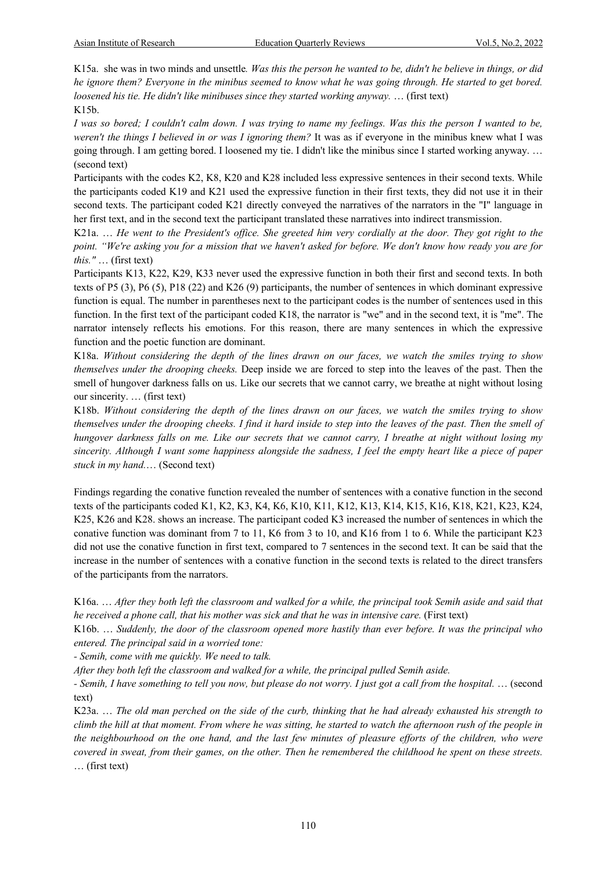K15a. she was in two minds and unsettle*. Was this the person he wanted to be, didn't he believe in things, or did he ignore them? Everyone in the minibus seemed to know what he was going through. He started to get bored. loosened his tie. He didn't like minibuses since they started working anyway.* … (first text) K15b.

*I was so bored; I couldn't calm down. I was trying to name my feelings. Was this the person I wanted to be, weren't the things I believed in or was I ignoring them?* It was as if everyone in the minibus knew what I was going through. I am getting bored. I loosened my tie. I didn't like the minibus since I started working anyway. … (second text)

Participants with the codes K2, K8, K20 and K28 included less expressive sentences in their second texts. While the participants coded K19 and K21 used the expressive function in their first texts, they did not use it in their second texts. The participant coded K21 directly conveyed the narratives of the narrators in the "I" language in her first text, and in the second text the participant translated these narratives into indirect transmission.

K21a. … *He went to the President's office. She greeted him very cordially at the door. They got right to the point. "We're asking you for a mission that we haven't asked for before. We don't know how ready you are for this."* … (first text)

Participants K13, K22, K29, K33 never used the expressive function in both their first and second texts. In both texts of P5 (3), P6 (5), P18 (22) and K26 (9) participants, the number of sentences in which dominant expressive function is equal. The number in parentheses next to the participant codes is the number of sentences used in this function. In the first text of the participant coded K18, the narrator is "we" and in the second text, it is "me". The narrator intensely reflects his emotions. For this reason, there are many sentences in which the expressive function and the poetic function are dominant.

K18a. *Without considering the depth of the lines drawn on our faces, we watch the smiles trying to show themselves under the drooping cheeks.* Deep inside we are forced to step into the leaves of the past. Then the smell of hungover darkness falls on us. Like our secrets that we cannot carry, we breathe at night without losing our sincerity. … (first text)

K18b. *Without considering the depth of the lines drawn on our faces, we watch the smiles trying to show themselves under the drooping cheeks. I find it hard inside to step into the leaves of the past. Then the smell of hungover darkness falls on me. Like our secrets that we cannot carry, I breathe at night without losing my sincerity. Although I want some happiness alongside the sadness, I feel the empty heart like a piece of paper stuck in my hand.*… (Second text)

Findings regarding the conative function revealed the number of sentences with a conative function in the second texts of the participants coded K1, K2, K3, K4, K6, K10, K11, K12, K13, K14, K15, K16, K18, K21, K23, K24, K25, K26 and K28. shows an increase. The participant coded K3 increased the number of sentences in which the conative function was dominant from 7 to 11, K6 from 3 to 10, and K16 from 1 to 6. While the participant K23 did not use the conative function in first text, compared to 7 sentences in the second text. It can be said that the increase in the number of sentences with a conative function in the second texts is related to the direct transfers of the participants from the narrators.

K16a. … *After they both left the classroom and walked for a while, the principal took Semih aside and said that he received a phone call, that his mother was sick and that he was in intensive care.* (First text)

K16b. … *Suddenly, the door of the classroom opened more hastily than ever before. It was the principal who entered. The principal said in a worried tone:*

*- Semih, come with me quickly. We need to talk.*

*After they both left the classroom and walked for a while, the principal pulled Semih aside.* 

*- Semih, I have something to tell you now, but please do not worry. I just got a call from the hospital.* … (second text)

K23a. … *The old man perched on the side of the curb, thinking that he had already exhausted his strength to climb the hill at that moment. From where he was sitting, he started to watch the afternoon rush of the people in the neighbourhood on the one hand, and the last few minutes of pleasure efforts of the children, who were covered in sweat, from their games, on the other. Then he remembered the childhood he spent on these streets.*  … (first text)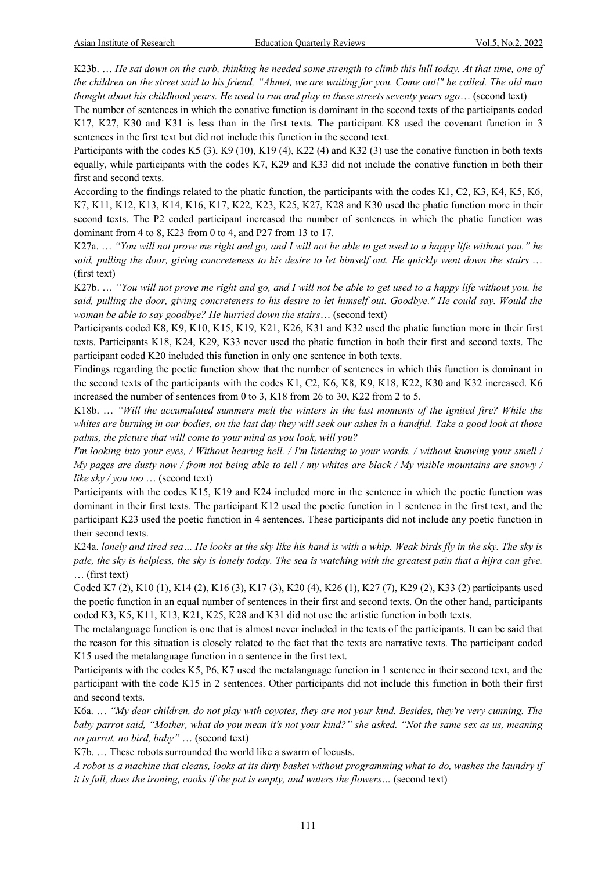K23b. … *He sat down on the curb, thinking he needed some strength to climb this hill today. At that time, one of the children on the street said to his friend, "Ahmet, we are waiting for you. Come out!" he called. The old man thought about his childhood years. He used to run and play in these streets seventy years ago*… (second text)

The number of sentences in which the conative function is dominant in the second texts of the participants coded K17, K27, K30 and K31 is less than in the first texts. The participant K8 used the covenant function in 3 sentences in the first text but did not include this function in the second text.

Participants with the codes K5 (3), K9 (10), K19 (4), K22 (4) and K32 (3) use the conative function in both texts equally, while participants with the codes K7, K29 and K33 did not include the conative function in both their first and second texts.

According to the findings related to the phatic function, the participants with the codes K1, C2, K3, K4, K5, K6, K7, K11, K12, K13, K14, K16, K17, K22, K23, K25, K27, K28 and K30 used the phatic function more in their second texts. The P2 coded participant increased the number of sentences in which the phatic function was dominant from 4 to 8, K23 from 0 to 4, and P27 from 13 to 17.

K27a. … *"You will not prove me right and go, and I will not be able to get used to a happy life without you." he said, pulling the door, giving concreteness to his desire to let himself out. He quickly went down the stairs* … (first text)

K27b. … *"You will not prove me right and go, and I will not be able to get used to a happy life without you. he said, pulling the door, giving concreteness to his desire to let himself out. Goodbye." He could say. Would the woman be able to say goodbye? He hurried down the stairs*… (second text)

Participants coded K8, K9, K10, K15, K19, K21, K26, K31 and K32 used the phatic function more in their first texts. Participants K18, K24, K29, K33 never used the phatic function in both their first and second texts. The participant coded K20 included this function in only one sentence in both texts.

Findings regarding the poetic function show that the number of sentences in which this function is dominant in the second texts of the participants with the codes K1, C2, K6, K8, K9, K18, K22, K30 and K32 increased. K6 increased the number of sentences from 0 to 3, K18 from 26 to 30, K22 from 2 to 5.

K18b. … *"Will the accumulated summers melt the winters in the last moments of the ignited fire? While the whites are burning in our bodies, on the last day they will seek our ashes in a handful. Take a good look at those palms, the picture that will come to your mind as you look, will you?* 

*I'm looking into your eyes, / Without hearing hell. / I'm listening to your words, / without knowing your smell / My pages are dusty now / from not being able to tell / my whites are black / My visible mountains are snowy / like sky / you too* … (second text)

Participants with the codes K15, K19 and K24 included more in the sentence in which the poetic function was dominant in their first texts. The participant K12 used the poetic function in 1 sentence in the first text, and the participant K23 used the poetic function in 4 sentences. These participants did not include any poetic function in their second texts.

K24a. *lonely and tired sea... He looks at the sky like his hand is with a whip. Weak birds fly in the sky. The sky is pale, the sky is helpless, the sky is lonely today. The sea is watching with the greatest pain that a hijra can give.* … (first text)

Coded K7 (2), K10 (1), K14 (2), K16 (3), K17 (3), K20 (4), K26 (1), K27 (7), K29 (2), K33 (2) participants used the poetic function in an equal number of sentences in their first and second texts. On the other hand, participants coded K3, K5, K11, K13, K21, K25, K28 and K31 did not use the artistic function in both texts.

The metalanguage function is one that is almost never included in the texts of the participants. It can be said that the reason for this situation is closely related to the fact that the texts are narrative texts. The participant coded K15 used the metalanguage function in a sentence in the first text.

Participants with the codes K5, P6, K7 used the metalanguage function in 1 sentence in their second text, and the participant with the code K15 in 2 sentences. Other participants did not include this function in both their first and second texts.

K6a. … *"My dear children, do not play with coyotes, they are not your kind. Besides, they're very cunning. The baby parrot said, "Mother, what do you mean it's not your kind?" she asked. "Not the same sex as us, meaning no parrot, no bird, baby"* … (second text)

K7b. … These robots surrounded the world like a swarm of locusts.

*A robot is a machine that cleans, looks at its dirty basket without programming what to do, washes the laundry if it is full, does the ironing, cooks if the pot is empty, and waters the flowers…* (second text)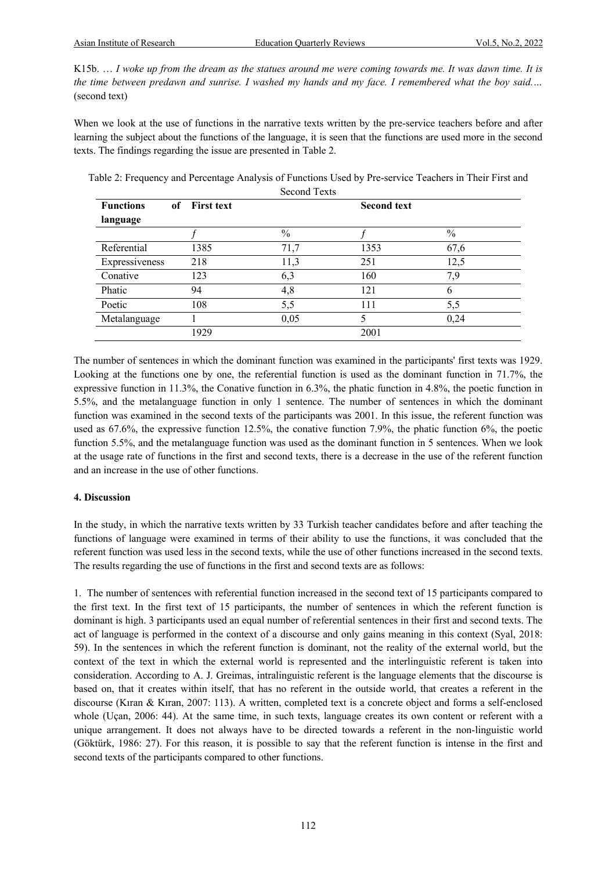K15b. … *I woke up from the dream as the statues around me were coming towards me. It was dawn time. It is the time between predawn and sunrise. I washed my hands and my face. I remembered what the boy said.…* (second text)

When we look at the use of functions in the narrative texts written by the pre-service teachers before and after learning the subject about the functions of the language, it is seen that the functions are used more in the second texts. The findings regarding the issue are presented in Table 2.

| Table 2: Frequency and Percentage Analysis of Functions Used by Pre-service Teachers in Their First and |              |  |  |  |
|---------------------------------------------------------------------------------------------------------|--------------|--|--|--|
|                                                                                                         | Second Texts |  |  |  |

| <b>Functions</b> | <b>First text</b><br>of |               | <b>Second text</b> |               |
|------------------|-------------------------|---------------|--------------------|---------------|
| language         |                         |               |                    |               |
|                  |                         | $\frac{0}{0}$ |                    | $\frac{0}{0}$ |
| Referential      | 1385                    | 71,7          | 1353               | 67,6          |
| Expressiveness   | 218                     | 11,3          | 251                | 12,5          |
| Conative         | 123                     | 6,3           | 160                | 7,9           |
| Phatic           | 94                      | 4,8           | 121                | h             |
| Poetic           | 108                     | 5,5           | 111                | 5,5           |
| Metalanguage     |                         | 0,05          |                    | 0,24          |
|                  | 1929                    |               | 2001               |               |

The number of sentences in which the dominant function was examined in the participants' first texts was 1929. Looking at the functions one by one, the referential function is used as the dominant function in 71.7%, the expressive function in 11.3%, the Conative function in 6.3%, the phatic function in 4.8%, the poetic function in 5.5%, and the metalanguage function in only 1 sentence. The number of sentences in which the dominant function was examined in the second texts of the participants was 2001. In this issue, the referent function was used as 67.6%, the expressive function 12.5%, the conative function 7.9%, the phatic function 6%, the poetic function 5.5%, and the metalanguage function was used as the dominant function in 5 sentences. When we look at the usage rate of functions in the first and second texts, there is a decrease in the use of the referent function and an increase in the use of other functions.

# **4. Discussion**

In the study, in which the narrative texts written by 33 Turkish teacher candidates before and after teaching the functions of language were examined in terms of their ability to use the functions, it was concluded that the referent function was used less in the second texts, while the use of other functions increased in the second texts. The results regarding the use of functions in the first and second texts are as follows:

1. The number of sentences with referential function increased in the second text of 15 participants compared to the first text. In the first text of 15 participants, the number of sentences in which the referent function is dominant is high. 3 participants used an equal number of referential sentences in their first and second texts. The act of language is performed in the context of a discourse and only gains meaning in this context (Syal, 2018: 59). In the sentences in which the referent function is dominant, not the reality of the external world, but the context of the text in which the external world is represented and the interlinguistic referent is taken into consideration. According to A. J. Greimas, intralinguistic referent is the language elements that the discourse is based on, that it creates within itself, that has no referent in the outside world, that creates a referent in the discourse (Kıran & Kıran, 2007: 113). A written, completed text is a concrete object and forms a self-enclosed whole (Uçan, 2006: 44). At the same time, in such texts, language creates its own content or referent with a unique arrangement. It does not always have to be directed towards a referent in the non-linguistic world (Göktürk, 1986: 27). For this reason, it is possible to say that the referent function is intense in the first and second texts of the participants compared to other functions.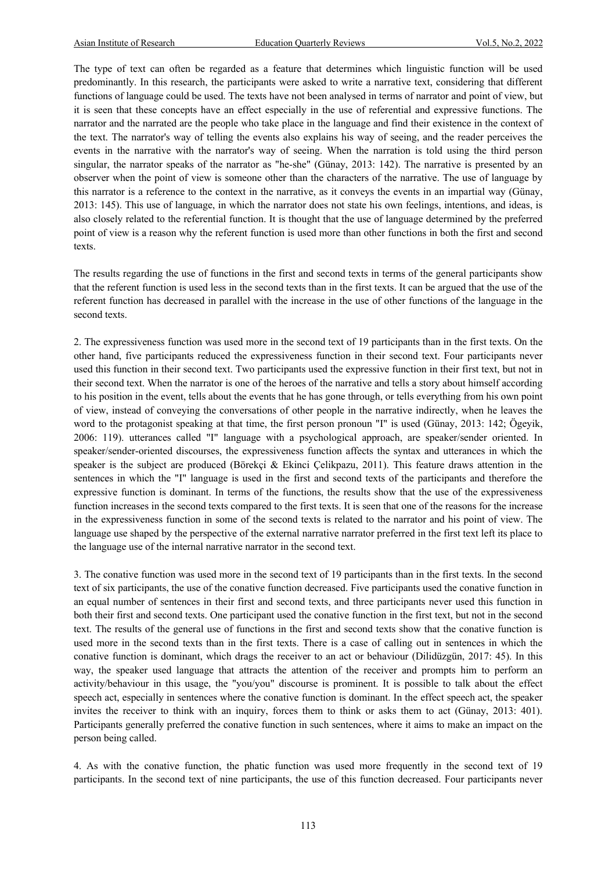The type of text can often be regarded as a feature that determines which linguistic function will be used predominantly. In this research, the participants were asked to write a narrative text, considering that different functions of language could be used. The texts have not been analysed in terms of narrator and point of view, but it is seen that these concepts have an effect especially in the use of referential and expressive functions. The narrator and the narrated are the people who take place in the language and find their existence in the context of the text. The narrator's way of telling the events also explains his way of seeing, and the reader perceives the events in the narrative with the narrator's way of seeing. When the narration is told using the third person singular, the narrator speaks of the narrator as "he-she" (Günay, 2013: 142). The narrative is presented by an observer when the point of view is someone other than the characters of the narrative. The use of language by this narrator is a reference to the context in the narrative, as it conveys the events in an impartial way (Günay, 2013: 145). This use of language, in which the narrator does not state his own feelings, intentions, and ideas, is also closely related to the referential function. It is thought that the use of language determined by the preferred point of view is a reason why the referent function is used more than other functions in both the first and second texts.

The results regarding the use of functions in the first and second texts in terms of the general participants show that the referent function is used less in the second texts than in the first texts. It can be argued that the use of the referent function has decreased in parallel with the increase in the use of other functions of the language in the second texts.

2. The expressiveness function was used more in the second text of 19 participants than in the first texts. On the other hand, five participants reduced the expressiveness function in their second text. Four participants never used this function in their second text. Two participants used the expressive function in their first text, but not in their second text. When the narrator is one of the heroes of the narrative and tells a story about himself according to his position in the event, tells about the events that he has gone through, or tells everything from his own point of view, instead of conveying the conversations of other people in the narrative indirectly, when he leaves the word to the protagonist speaking at that time, the first person pronoun "I" is used (Günay, 2013: 142; Ögeyik, 2006: 119). utterances called "I" language with a psychological approach, are speaker/sender oriented. In speaker/sender-oriented discourses, the expressiveness function affects the syntax and utterances in which the speaker is the subject are produced (Börekçi & Ekinci Çelikpazu, 2011). This feature draws attention in the sentences in which the "I" language is used in the first and second texts of the participants and therefore the expressive function is dominant. In terms of the functions, the results show that the use of the expressiveness function increases in the second texts compared to the first texts. It is seen that one of the reasons for the increase in the expressiveness function in some of the second texts is related to the narrator and his point of view. The language use shaped by the perspective of the external narrative narrator preferred in the first text left its place to the language use of the internal narrative narrator in the second text.

3. The conative function was used more in the second text of 19 participants than in the first texts. In the second text of six participants, the use of the conative function decreased. Five participants used the conative function in an equal number of sentences in their first and second texts, and three participants never used this function in both their first and second texts. One participant used the conative function in the first text, but not in the second text. The results of the general use of functions in the first and second texts show that the conative function is used more in the second texts than in the first texts. There is a case of calling out in sentences in which the conative function is dominant, which drags the receiver to an act or behaviour (Dilidüzgün, 2017: 45). In this way, the speaker used language that attracts the attention of the receiver and prompts him to perform an activity/behaviour in this usage, the "you/you" discourse is prominent. It is possible to talk about the effect speech act, especially in sentences where the conative function is dominant. In the effect speech act, the speaker invites the receiver to think with an inquiry, forces them to think or asks them to act (Günay, 2013: 401). Participants generally preferred the conative function in such sentences, where it aims to make an impact on the person being called.

4. As with the conative function, the phatic function was used more frequently in the second text of 19 participants. In the second text of nine participants, the use of this function decreased. Four participants never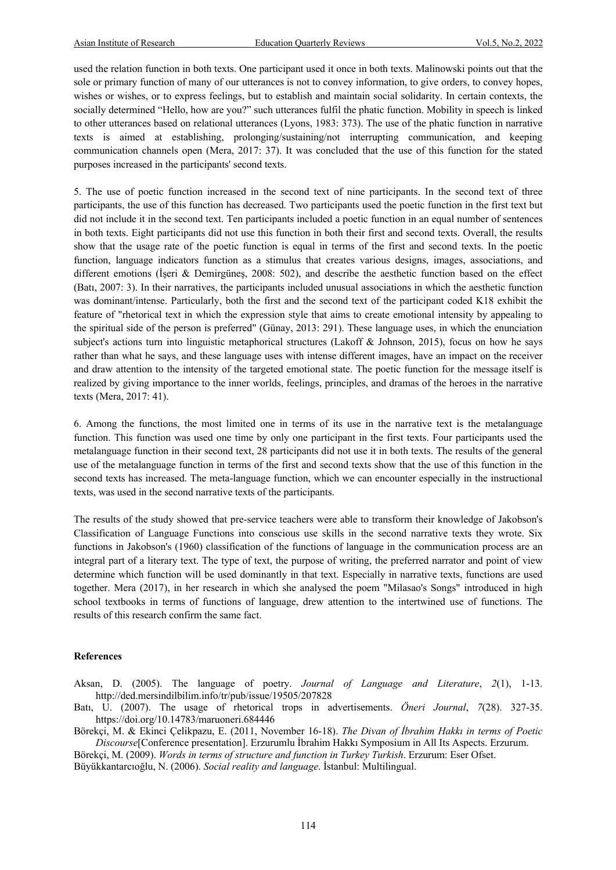used the relation function in both texts. One participant used it once in both texts. Malinowski points out that the sole or primary function of many of our utterances is not to convey information, to give orders, to convey hopes, wishes or wishes, or to express feelings, but to establish and maintain social solidarity. In certain contexts, the socially determined "Hello, how are you?" such utterances fulfil the phatic function. Mobility in speech is linked to other utterances based on relational utterances (Lyons, 1983: 373). The use of the phatic function in narrative texts is aimed at establishing, prolonging/sustaining/not interrupting communication, and keeping communication channels open (Mera, 2017: 37). It was concluded that the use of this function for the stated purposes increased in the participants' second texts.

5. The use of poetic function increased in the second text of nine participants. In the second text of three participants, the use of this function has decreased. Two participants used the poetic function in the first text but did not include it in the second text. Ten participants included a poetic function in an equal number of sentences in both texts. Eight participants did not use this function in both their first and second texts. Overall, the results show that the usage rate of the poetic function is equal in terms of the first and second texts. In the poetic function, language indicators function as a stimulus that creates various designs, images, associations, and different emotions (İşeri & Demirgüneş, 2008: 502), and describe the aesthetic function based on the effect (Batı, 2007: 3). In their narratives, the participants included unusual associations in which the aesthetic function was dominant/intense. Particularly, both the first and the second text of the participant coded K18 exhibit the feature of "rhetorical text in which the expression style that aims to create emotional intensity by appealing to the spiritual side of the person is preferred" (Günay, 2013: 291). These language uses, in which the enunciation subject's actions turn into linguistic metaphorical structures (Lakoff & Johnson, 2015), focus on how he says rather than what he says, and these language uses with intense different images, have an impact on the receiver and draw attention to the intensity of the targeted emotional state. The poetic function for the message itself is realized by giving importance to the inner worlds, feelings, principles, and dramas of the heroes in the narrative texts (Mera, 2017: 41).

6. Among the functions, the most limited one in terms of its use in the narrative text is the metalanguage function. This function was used one time by only one participant in the first texts. Four participants used the metalanguage function in their second text, 28 participants did not use it in both texts. The results of the general use of the metalanguage function in terms of the first and second texts show that the use of this function in the second texts has increased. The meta-language function, which we can encounter especially in the instructional texts, was used in the second narrative texts of the participants.

The results of the study showed that pre-service teachers were able to transform their knowledge of Jakobson's Classification of Language Functions into conscious use skills in the second narrative texts they wrote. Six functions in Jakobson's (1960) classification of the functions of language in the communication process are an integral part of a literary text. The type of text, the purpose of writing, the preferred narrator and point of view determine which function will be used dominantly in that text. Especially in narrative texts, functions are used together. Mera (2017), in her research in which she analysed the poem "Milasao's Songs" introduced in high school textbooks in terms of functions of language, drew attention to the intertwined use of functions. The results of this research confirm the same fact.

# **References**

Aksan, D. (2005). The language of poetry. *Journal of Language and Literature*, *2*(1), 1-13. http://ded.mersindilbilim.info/tr/pub/issue/19505/207828

Batı, U. (2007). The usage of rhetorical trops in advertisements. *Öneri Journal*, *7*(28). 327-35. https://doi.org/10.14783/maruoneri.684446

Börekçi, M. & Ekinci Çelikpazu, E. (2011, November 16-18). *The Divan of İbrahim Hakkı in terms of Poetic Discourse*[Conference presentation]. Erzurumlu İbrahim Hakkı Symposium in All Its Aspects. Erzurum.

Börekçi, M. (2009). *Words in terms of structure and function in Turkey Turkish*. Erzurum: Eser Ofset. Büyükkantarcıoğlu, N. (2006). *Social reality and language*. İstanbul: Multilingual.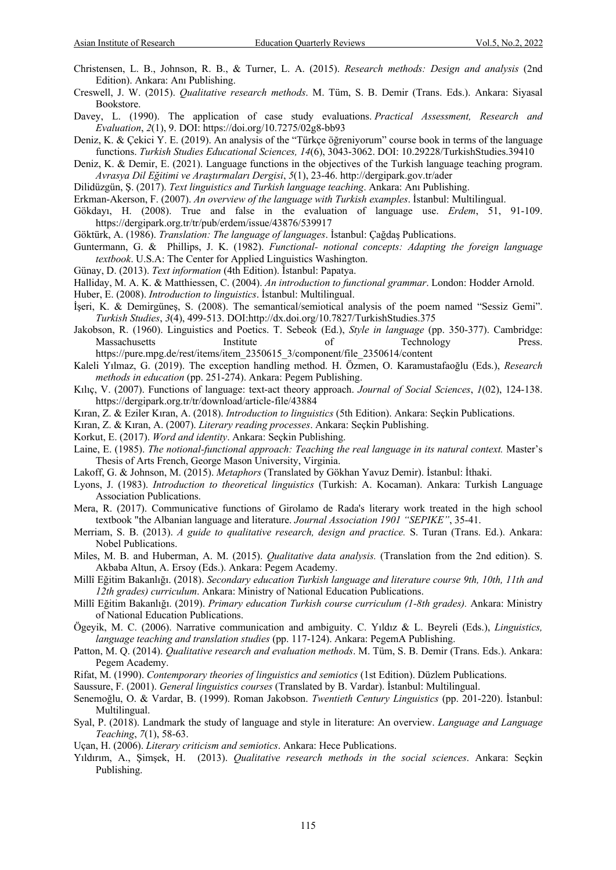- Christensen, L. B., Johnson, R. B., & Turner, L. A. (2015). *Research methods: Design and analysis* (2nd Edition). Ankara: Anı Publishing.
- Creswell, J. W. (2015). *Qualitative research methods*. M. Tüm, S. B. Demir (Trans. Eds.). Ankara: Siyasal Bookstore.
- Davey, L. (1990). The application of case study evaluations. *Practical Assessment, Research and Evaluation*, *2*(1), 9. DOI: https://doi.org/10.7275/02g8-bb93
- Deniz, K. & Çekici Y. E. (2019). An analysis of the "Türkçe öğreniyorum" course book in terms of the language functions. *Turkish Studies Educational Sciences, 14*(6), 3043-3062. DOI: 10.29228/TurkishStudies.39410
- Deniz, K. & Demir, E. (2021). Language functions in the objectives of the Turkish language teaching program. *Avrasya Dil Eğitimi ve Araştırmaları Dergisi*, *5*(1), 23-46. http://dergipark.gov.tr/ader
- Dilidüzgün, Ş. (2017). *Text linguistics and Turkish language teaching*. Ankara: Anı Publishing.
- Erkman-Akerson, F. (2007). *An overview of the language with Turkish examples*. İstanbul: Multilingual.
- Gökdayı, H. (2008). True and false in the evaluation of language use. *Erdem*, 51, 91-109. https://dergipark.org.tr/tr/pub/erdem/issue/43876/539917
- Göktürk, A. (1986). *Translation: The language of languages*. İstanbul: Çağdaş Publications.
- Guntermann, G. & Phillips, J. K. (1982). *Functional- notional concepts: Adapting the foreign language textbook*. U.S.A: The Center for Applied Linguistics Washington.
- Günay, D. (2013). *Text information* (4th Edition). İstanbul: Papatya.
- Halliday, M. A. K. & Matthiessen, C. (2004). *An introduction to functional grammar*. London: Hodder Arnold.
- Huber, E. (2008). *Introduction to linguistics*. İstanbul: Multilingual.
- İşeri, K. & Demirgüneş, S. (2008). The semantical/semiotical analysis of the poem named "Sessiz Gemi". *Turkish Studies*, *3*(4), 499-513. DOI:http://dx.doi.org/10.7827/TurkishStudies.375
- Jakobson, R. (1960). Linguistics and Poetics. T. Sebeok (Ed.), *Style in language* (pp. 350-377). Cambridge: Massachusetts **Institute** of Technology Press. https://pure.mpg.de/rest/items/item\_2350615\_3/component/file\_2350614/content
- Kaleli Yılmaz, G. (2019). The exception handling method. H. Özmen, O. Karamustafaoğlu (Eds.), *Research methods in education* (pp. 251-274). Ankara: Pegem Publishing.
- Kılıç, V. (2007). Functions of language: text-act theory approach. *Journal of Social Sciences*, *1*(02), 124-138. https://dergipark.org.tr/tr/download/article-file/43884
- Kıran, Z. & Eziler Kıran, A. (2018). *Introduction to linguistics* (5th Edition). Ankara: Seçkin Publications.
- Kıran, Z. & Kıran, A. (2007). *Literary reading processes*. Ankara: Seçkin Publishing.
- Korkut, E. (2017). *Word and identity*. Ankara: Seçkin Publishing.
- Laine, E. (1985). *The notional-functional approach: Teaching the real language in its natural context*. Master's Thesis of Arts French, George Mason University, Virginia.
- Lakoff, G. & Johnson, M. (2015). *Metaphors* (Translated by Gökhan Yavuz Demir). İstanbul: İthaki.
- Lyons, J. (1983). *Introduction to theoretical linguistics* (Turkish: A. Kocaman). Ankara: Turkish Language Association Publications.
- Mera, R. (2017). Communicative functions of Girolamo de Rada's literary work treated in the high school textbook "the Albanian language and literature. *Journal Association 1901 "SEPIKE"*, 35-41.
- Merriam, S. B. (2013). *A guide to qualitative research, design and practice.* S. Turan (Trans. Ed.). Ankara: Nobel Publications.
- Miles, M. B. and Huberman, A. M. (2015). *Qualitative data analysis.* (Translation from the 2nd edition). S. Akbaba Altun, A. Ersoy (Eds.). Ankara: Pegem Academy.
- Millî Eğitim Bakanlığı. (2018). *Secondary education Turkish language and literature course 9th, 10th, 11th and 12th grades) curriculum*. Ankara: Ministry of National Education Publications.
- Millî Eğitim Bakanlığı. (2019). *Primary education Turkish course curriculum (1-8th grades).* Ankara: Ministry of National Education Publications.
- Ögeyik, M. C. (2006). Narrative communication and ambiguity. C. Yıldız & L. Beyreli (Eds.), *Linguistics, language teaching and translation studies* (pp. 117-124). Ankara: PegemA Publishing.
- Patton, M. Q. (2014). *Qualitative research and evaluation methods*. M. Tüm, S. B. Demir (Trans. Eds.). Ankara: Pegem Academy.
- Rifat, M. (1990). *Contemporary theories of linguistics and semiotics* (1st Edition). Düzlem Publications.
- Saussure, F. (2001). *General linguistics courses* (Translated by B. Vardar). İstanbul: Multilingual.
- Senemoğlu, O. & Vardar, B. (1999). Roman Jakobson. *Twentieth Century Linguistics* (pp. 201-220). İstanbul: Multilingual.
- Syal, P. (2018). Landmark the study of language and style in literature: An overview. *Language and Language Teaching*, *7*(1), 58-63.
- Uçan, H. (2006). *Literary criticism and semiotics*. Ankara: Hece Publications.
- Yıldırım, A., Şimşek, H. (2013). *Qualitative research methods in the social sciences*. Ankara: Seçkin Publishing.